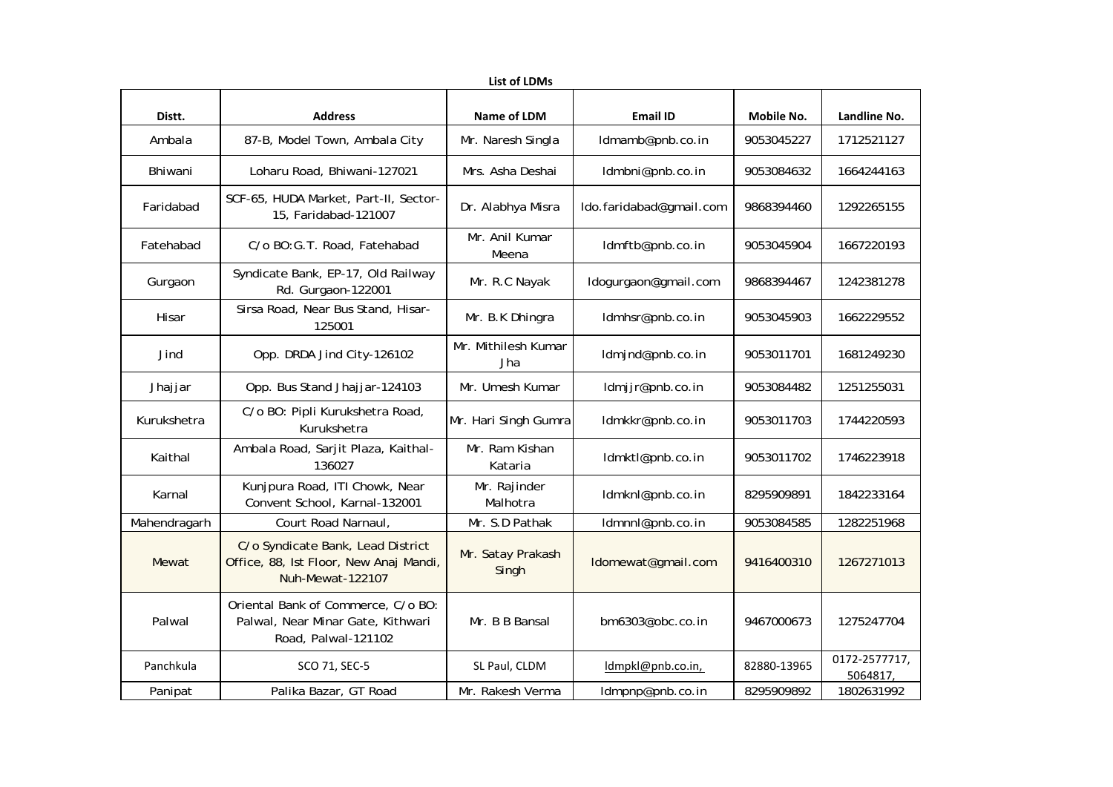| <b>List of LDMs</b> |                                                                                                 |                            |                         |                   |                          |  |  |  |  |
|---------------------|-------------------------------------------------------------------------------------------------|----------------------------|-------------------------|-------------------|--------------------------|--|--|--|--|
| Distt.              | <b>Address</b>                                                                                  | Name of LDM                | <b>Email ID</b>         | <b>Mobile No.</b> | Landline No.             |  |  |  |  |
| Ambala              | 87-B, Model Town, Ambala City                                                                   | Mr. Naresh Singla          | Idmamb@pnb.co.in        | 9053045227        | 1712521127               |  |  |  |  |
| Bhiwani             | Loharu Road, Bhiwani-127021                                                                     | Mrs. Asha Deshai           | Idmbni@pnb.co.in        | 9053084632        | 1664244163               |  |  |  |  |
| Faridabad           | SCF-65, HUDA Market, Part-II, Sector-<br>15, Faridabad-121007                                   | Dr. Alabhya Misra          | Ido.faridabad@gmail.com | 9868394460        | 1292265155               |  |  |  |  |
| Fatehabad           | C/o BO:G.T. Road, Fatehabad                                                                     | Mr. Anil Kumar<br>Meena    | ldmftb@pnb.co.in        | 9053045904        | 1667220193               |  |  |  |  |
| Gurgaon             | Syndicate Bank, EP-17, Old Railway<br>Rd. Gurgaon-122001                                        | Mr. R.C Nayak              | Idogurgaon@gmail.com    | 9868394467        | 1242381278               |  |  |  |  |
| Hisar               | Sirsa Road, Near Bus Stand, Hisar-<br>125001                                                    | Mr. B.K Dhingra            | Idmhsr@pnb.co.in        | 9053045903        | 1662229552               |  |  |  |  |
| Jind                | Opp. DRDA Jind City-126102                                                                      | Mr. Mithilesh Kumar<br>Jha | ldmjnd@pnb.co.in        | 9053011701        | 1681249230               |  |  |  |  |
| Jhajjar             | Opp. Bus Stand Jhajjar-124103                                                                   | Mr. Umesh Kumar            | ldmjjr@pnb.co.in        | 9053084482        | 1251255031               |  |  |  |  |
| Kurukshetra         | C/o BO: Pipli Kurukshetra Road,<br>Kurukshetra                                                  | Mr. Hari Singh Gumra       | ldmkkr@pnb.co.in        | 9053011703        | 1744220593               |  |  |  |  |
| Kaithal             | Ambala Road, Sarjit Plaza, Kaithal-<br>136027                                                   | Mr. Ram Kishan<br>Kataria  | ldmktl@pnb.co.in        | 9053011702        | 1746223918               |  |  |  |  |
| Karnal              | Kunjpura Road, ITI Chowk, Near<br>Convent School, Karnal-132001                                 | Mr. Rajinder<br>Malhotra   | ldmknl@pnb.co.in        | 8295909891        | 1842233164               |  |  |  |  |
| Mahendragarh        | Court Road Narnaul,                                                                             | Mr. S.D Pathak             | Idmnnl@pnb.co.in        | 9053084585        | 1282251968               |  |  |  |  |
| Mewat               | C/o Syndicate Bank, Lead District<br>Office, 88, Ist Floor, New Anaj Mandi,<br>Nuh-Mewat-122107 | Mr. Satay Prakash<br>Singh | Idomewat@gmail.com      | 9416400310        | 1267271013               |  |  |  |  |
| Palwal              | Oriental Bank of Commerce, C/o BO:<br>Palwal, Near Minar Gate, Kithwari<br>Road, Palwal-121102  | Mr. B B Bansal             | bm6303@obc.co.in        | 9467000673        | 1275247704               |  |  |  |  |
| Panchkula           | SCO 71, SEC-5                                                                                   | SL Paul, CLDM              | ldmpkl@pnb.co.in,       | 82880-13965       | 0172-2577717,<br>5064817 |  |  |  |  |
| Panipat             | Palika Bazar, GT Road                                                                           | Mr. Rakesh Verma           | ldmpnp@pnb.co.in        | 8295909892        | 1802631992               |  |  |  |  |